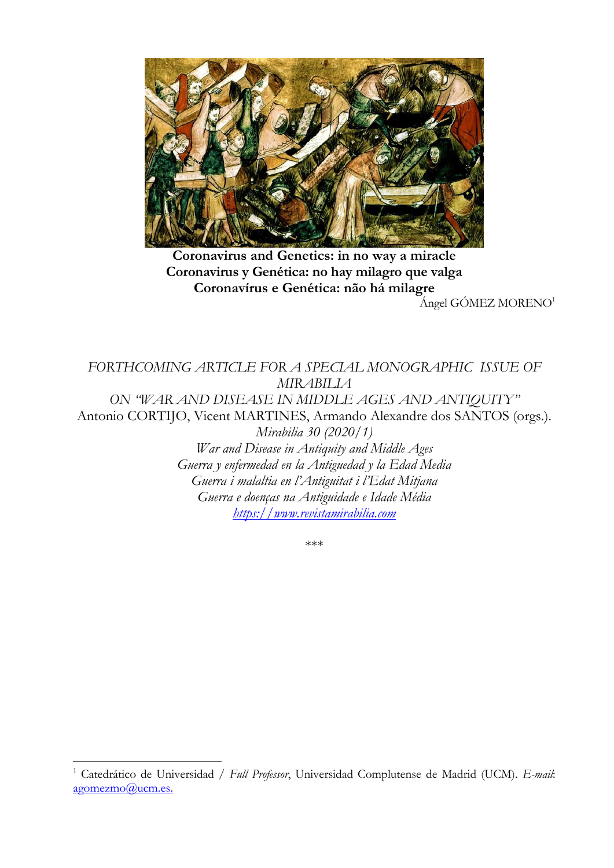

**Coronavirus and Genetics: in no way a miracle Coronavirus y Genética: no hay milagro que valga Coronavírus e Genética: não há milagre**

Ángel GÓMEZ MORENO<sup>1</sup>

*FORTHCOMING ARTICLE FOR A SPECIAL MONOGRAPHIC ISSUE OF MIRABILIA ON "WAR AND DISEASE IN MIDDLE AGES AND ANTIQUITY"* Antonio CORTIJO, Vicent MARTINES, Armando Alexandre dos SANTOS (orgs.). *Mirabilia 30 (2020/1) War and Disease in Antiquity and Middle Ages Guerra y enfermedad en la Antiguedad y la Edad Media Guerra i malaltia en l'Antiguitat i l'Edat Mitjana Guerra e doenças na Antiguidade e Idade Média [https://www.revistamirabilia.com](https://www.revistamirabilia.com/)*

\*\*\*

 $\overline{a}$ 

<sup>1</sup> Catedrático de Universidad / *Full Professor*, Universidad Complutense de Madrid (UCM). *E-mail*: [agomezmo@ucm.es.](mailto:agomezmo@ucm.es)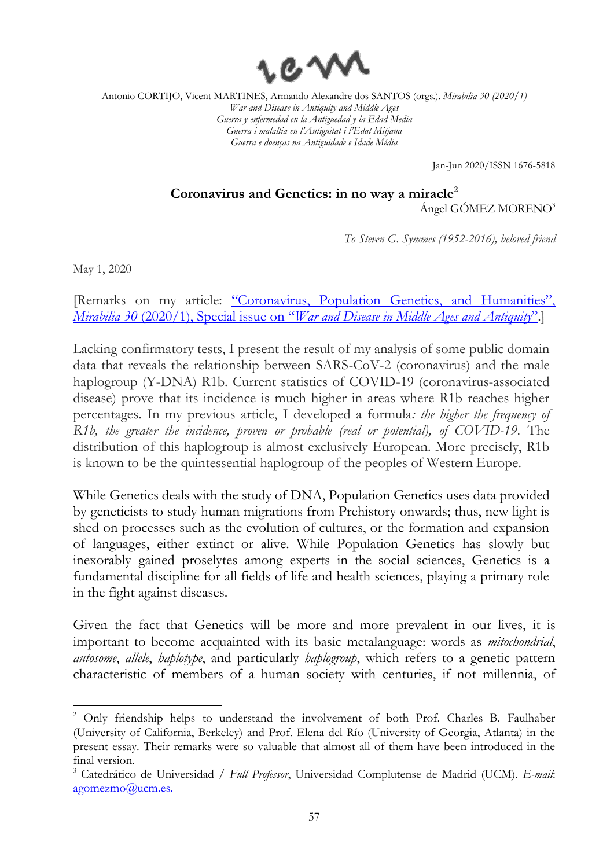

Jan-Jun 2020/ISSN 1676-5818

## **Coronavirus and Genetics: in no way a miracle<sup>2</sup>** Ángel GÓMEZ MORENO<sup>3</sup>

*To Steven G. Symmes (1952-2016), beloved friend*

May 1, 2020

 $\overline{a}$ 

[Remarks on my article: ["Coronavirus, Population Genetics, and Humanities",](https://www.revistamirabilia.com/sites/default/files/pdfs/01._gomezmoreno.pdf)  *Mirabilia 30* (2020/1), Special issue on "*[War and Disease in Middle Ages and Antiquity](https://www.revistamirabilia.com/sites/default/files/pdfs/01._gomezmoreno.pdf)*".]

Lacking confirmatory tests, I present the result of my analysis of some public domain data that reveals the relationship between SARS-CoV-2 (coronavirus) and the male haplogroup (Y-DNA) R1b. Current statistics of COVID-19 (coronavirus-associated disease) prove that its incidence is much higher in areas where R1b reaches higher percentages. In my previous article, I developed a formula*: the higher the frequency of R1b, the greater the incidence, proven or probable (real or potential), of COVID-19*. The distribution of this haplogroup is almost exclusively European. More precisely, R1b is known to be the quintessential haplogroup of the peoples of Western Europe.

While Genetics deals with the study of DNA, Population Genetics uses data provided by geneticists to study human migrations from Prehistory onwards; thus, new light is shed on processes such as the evolution of cultures, or the formation and expansion of languages, either extinct or alive. While Population Genetics has slowly but inexorably gained proselytes among experts in the social sciences, Genetics is a fundamental discipline for all fields of life and health sciences, playing a primary role in the fight against diseases.

Given the fact that Genetics will be more and more prevalent in our lives, it is important to become acquainted with its basic metalanguage: words as *mitochondrial*, *autosome*, *allele*, *haplotype*, and particularly *haplogroup*, which refers to a genetic pattern characteristic of members of a human society with centuries, if not millennia, of

<sup>&</sup>lt;sup>2</sup> Only friendship helps to understand the involvement of both Prof. Charles B. Faulhaber (University of California, Berkeley) and Prof. Elena del Río (University of Georgia, Atlanta) in the present essay. Their remarks were so valuable that almost all of them have been introduced in the final version.

<sup>3</sup> Catedrático de Universidad / *Full Professor*, Universidad Complutense de Madrid (UCM). *E-mail*: [agomezmo@ucm.es.](mailto:agomezmo@ucm.es)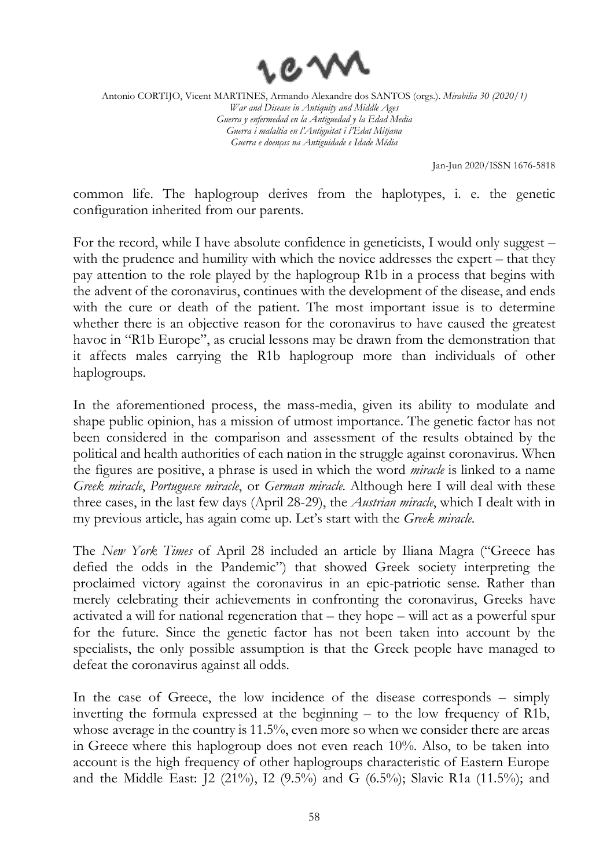

Jan-Jun 2020/ISSN 1676-5818

common life. The haplogroup derives from the haplotypes, i. e. the genetic configuration inherited from our parents.

For the record, while I have absolute confidence in geneticists, I would only suggest – with the prudence and humility with which the novice addresses the expert – that they pay attention to the role played by the haplogroup R1b in a process that begins with the advent of the coronavirus, continues with the development of the disease, and ends with the cure or death of the patient. The most important issue is to determine whether there is an objective reason for the coronavirus to have caused the greatest havoc in "R1b Europe", as crucial lessons may be drawn from the demonstration that it affects males carrying the R1b haplogroup more than individuals of other haplogroups.

In the aforementioned process, the mass-media, given its ability to modulate and shape public opinion, has a mission of utmost importance. The genetic factor has not been considered in the comparison and assessment of the results obtained by the political and health authorities of each nation in the struggle against coronavirus. When the figures are positive, a phrase is used in which the word *miracle* is linked to a name *Greek miracle*, *Portuguese miracle*, or *German miracle*. Although here I will deal with these three cases, in the last few days (April 28-29), the *Austrian miracle*, which I dealt with in my previous article, has again come up. Let's start with the *Greek miracle*.

The *New York Times* of April 28 included an article by Iliana Magra ("Greece has defied the odds in the Pandemic") that showed Greek society interpreting the proclaimed victory against the coronavirus in an epic-patriotic sense. Rather than merely celebrating their achievements in confronting the coronavirus, Greeks have activated a will for national regeneration that – they hope – will act as a powerful spur for the future. Since the genetic factor has not been taken into account by the specialists, the only possible assumption is that the Greek people have managed to defeat the coronavirus against all odds.

In the case of Greece, the low incidence of the disease corresponds – simply inverting the formula expressed at the beginning – to the low frequency of R1b, whose average in the country is 11.5%, even more so when we consider there are areas in Greece where this haplogroup does not even reach 10%. Also, to be taken into account is the high frequency of other haplogroups characteristic of Eastern Europe and the Middle East: J2 (21%), I2 (9.5%) and G (6.5%); Slavic R1a (11.5%); and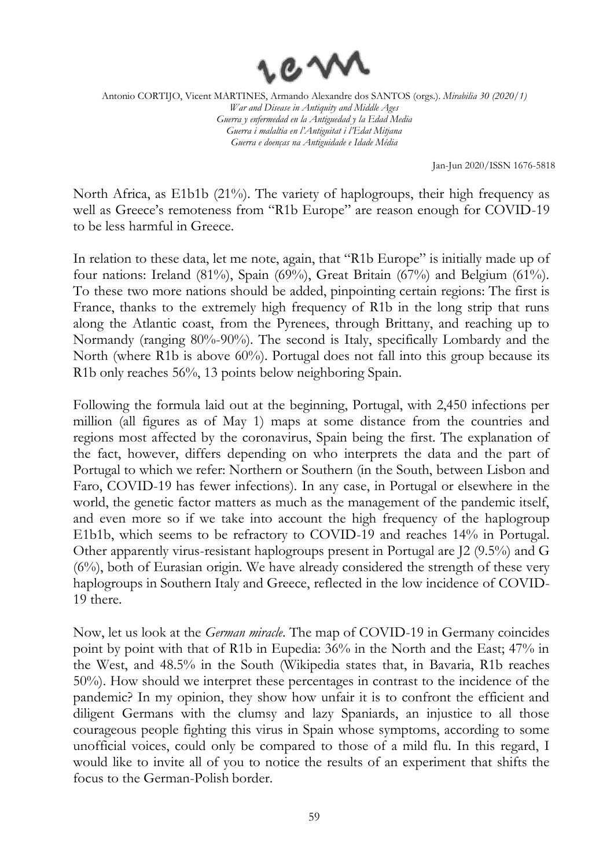

Jan-Jun 2020/ISSN 1676-5818

North Africa, as E1b1b (21%). The variety of haplogroups, their high frequency as well as Greece's remoteness from "R1b Europe" are reason enough for COVID-19 to be less harmful in Greece.

In relation to these data, let me note, again, that "R1b Europe" is initially made up of four nations: Ireland (81%), Spain (69%), Great Britain (67%) and Belgium (61%). To these two more nations should be added, pinpointing certain regions: The first is France, thanks to the extremely high frequency of R1b in the long strip that runs along the Atlantic coast, from the Pyrenees, through Brittany, and reaching up to Normandy (ranging 80%-90%). The second is Italy, specifically Lombardy and the North (where R1b is above 60%). Portugal does not fall into this group because its R1b only reaches 56%, 13 points below neighboring Spain.

Following the formula laid out at the beginning, Portugal, with 2,450 infections per million (all figures as of May 1) maps at some distance from the countries and regions most affected by the coronavirus, Spain being the first. The explanation of the fact, however, differs depending on who interprets the data and the part of Portugal to which we refer: Northern or Southern (in the South, between Lisbon and Faro, COVID-19 has fewer infections). In any case, in Portugal or elsewhere in the world, the genetic factor matters as much as the management of the pandemic itself, and even more so if we take into account the high frequency of the haplogroup E1b1b, which seems to be refractory to COVID-19 and reaches 14% in Portugal. Other apparently virus-resistant haplogroups present in Portugal are J2 (9.5%) and G (6%), both of Eurasian origin. We have already considered the strength of these very haplogroups in Southern Italy and Greece, reflected in the low incidence of COVID-19 there.

Now, let us look at the *German miracle*. The map of COVID-19 in Germany coincides point by point with that of R1b in Eupedia: 36% in the North and the East; 47% in the West, and 48.5% in the South (Wikipedia states that, in Bavaria, R1b reaches 50%). How should we interpret these percentages in contrast to the incidence of the pandemic? In my opinion, they show how unfair it is to confront the efficient and diligent Germans with the clumsy and lazy Spaniards, an injustice to all those courageous people fighting this virus in Spain whose symptoms, according to some unofficial voices, could only be compared to those of a mild flu. In this regard, I would like to invite all of you to notice the results of an experiment that shifts the focus to the German-Polish border.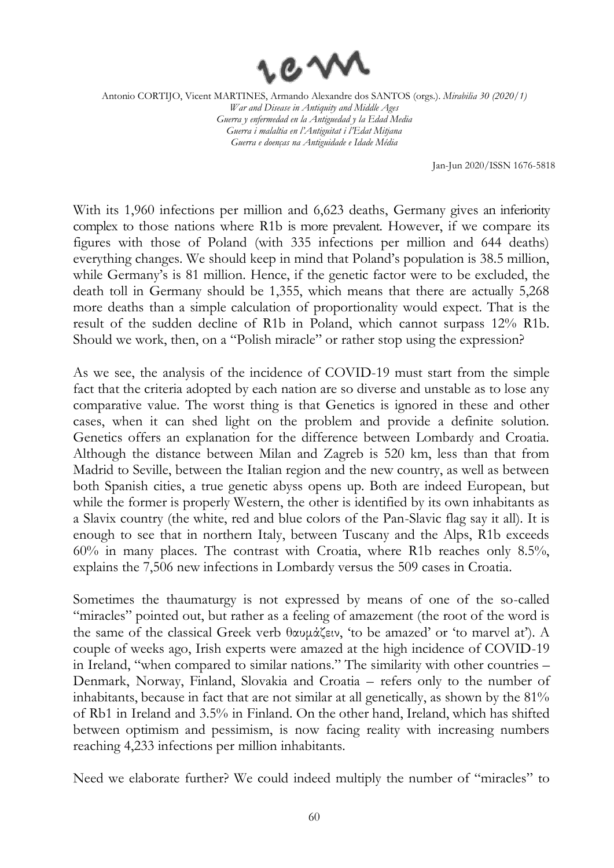

Jan-Jun 2020/ISSN 1676-5818

With its 1,960 infections per million and 6,623 deaths, Germany gives an inferiority complex to those nations where R1b is more prevalent. However, if we compare its figures with those of Poland (with 335 infections per million and 644 deaths) everything changes. We should keep in mind that Poland's population is 38.5 million, while Germany's is 81 million. Hence, if the genetic factor were to be excluded, the death toll in Germany should be 1,355, which means that there are actually 5,268 more deaths than a simple calculation of proportionality would expect. That is the result of the sudden decline of R1b in Poland, which cannot surpass 12% R1b. Should we work, then, on a "Polish miracle" or rather stop using the expression?

As we see, the analysis of the incidence of COVID-19 must start from the simple fact that the criteria adopted by each nation are so diverse and unstable as to lose any comparative value. The worst thing is that Genetics is ignored in these and other cases, when it can shed light on the problem and provide a definite solution. Genetics offers an explanation for the difference between Lombardy and Croatia. Although the distance between Milan and Zagreb is 520 km, less than that from Madrid to Seville, between the Italian region and the new country, as well as between both Spanish cities, a true genetic abyss opens up. Both are indeed European, but while the former is properly Western, the other is identified by its own inhabitants as a Slavix country (the white, red and blue colors of the Pan-Slavic flag say it all). It is enough to see that in northern Italy, between Tuscany and the Alps, R1b exceeds 60% in many places. The contrast with Croatia, where R1b reaches only 8.5%, explains the 7,506 new infections in Lombardy versus the 509 cases in Croatia.

Sometimes the thaumaturgy is not expressed by means of one of the so-called "miracles" pointed out, but rather as a feeling of amazement (the root of the word is the same of the classical Greek verb θαυμάζειν, 'to be amazed' or 'to marvel at'). A couple of weeks ago, Irish experts were amazed at the high incidence of COVID-19 in Ireland, "when compared to similar nations." The similarity with other countries – Denmark, Norway, Finland, Slovakia and Croatia – refers only to the number of inhabitants, because in fact that are not similar at all genetically, as shown by the 81% of Rb1 in Ireland and 3.5% in Finland. On the other hand, Ireland, which has shifted between optimism and pessimism, is now facing reality with increasing numbers reaching 4,233 infections per million inhabitants.

Need we elaborate further? We could indeed multiply the number of "miracles" to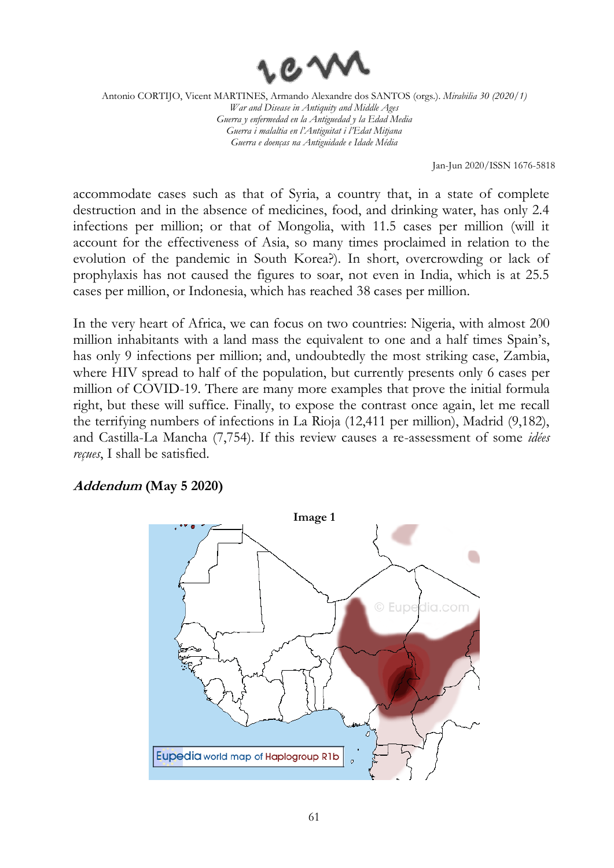

Jan-Jun 2020/ISSN 1676-5818

accommodate cases such as that of Syria, a country that, in a state of complete destruction and in the absence of medicines, food, and drinking water, has only 2.4 infections per million; or that of Mongolia, with 11.5 cases per million (will it account for the effectiveness of Asia, so many times proclaimed in relation to the evolution of the pandemic in South Korea?). In short, overcrowding or lack of prophylaxis has not caused the figures to soar, not even in India, which is at 25.5 cases per million, or Indonesia, which has reached 38 cases per million.

In the very heart of Africa, we can focus on two countries: Nigeria, with almost 200 million inhabitants with a land mass the equivalent to one and a half times Spain's, has only 9 infections per million; and, undoubtedly the most striking case, Zambia, where HIV spread to half of the population, but currently presents only 6 cases per million of COVID-19. There are many more examples that prove the initial formula right, but these will suffice. Finally, to expose the contrast once again, let me recall the terrifying numbers of infections in La Rioja (12,411 per million), Madrid (9,182), and Castilla-La Mancha (7,754). If this review causes a re-assessment of some *idées reçues*, I shall be satisfied.

**Addendum (May 5 2020)**

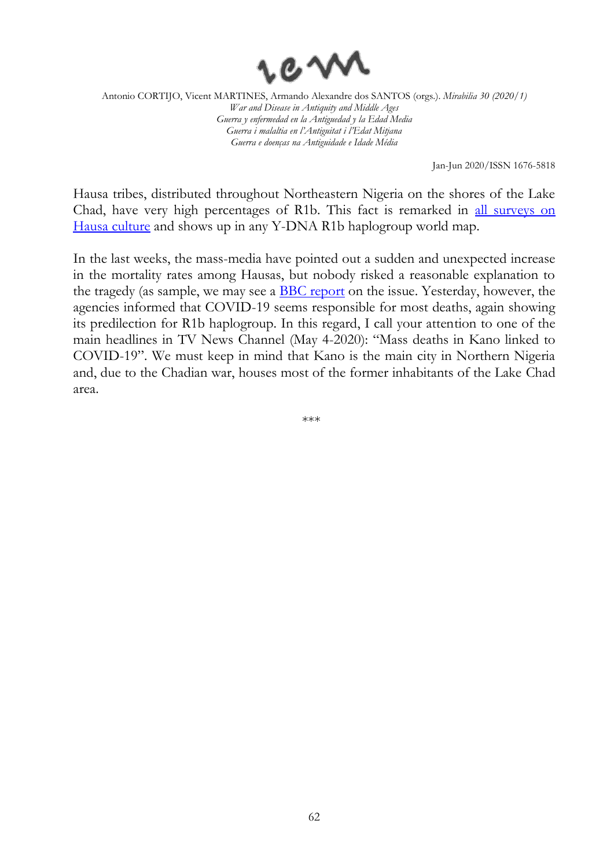

Jan-Jun 2020/ISSN 1676-5818

Hausa tribes, distributed throughout Northeastern Nigeria on the shores of the Lake Chad, have very high percentages of R1b. This fact is remarked in [all surveys on](https://www.ncbi.nlm.nih.gov/pmc/articles/PMC6240361/)  [Hausa culture](https://www.ncbi.nlm.nih.gov/pmc/articles/PMC6240361/) and shows up in any Y-DNA R1b haplogroup world map.

In the last weeks, the mass-media have pointed out a sudden and unexpected increase in the mortality rates among Hausas, but nobody risked a reasonable explanation to the tragedy (as sample, we may see a [BBC report](https://www.bbc.com/news/world-africa-52454259) on the issue. Yesterday, however, the agencies informed that COVID-19 seems responsible for most deaths, again showing its predilection for R1b haplogroup. In this regard, I call your attention to one of the main headlines in TV News Channel (May 4-2020): "Mass deaths in Kano linked to COVID-19". We must keep in mind that Kano is the main city in Northern Nigeria and, due to the Chadian war, houses most of the former inhabitants of the Lake Chad area.

\*\*\*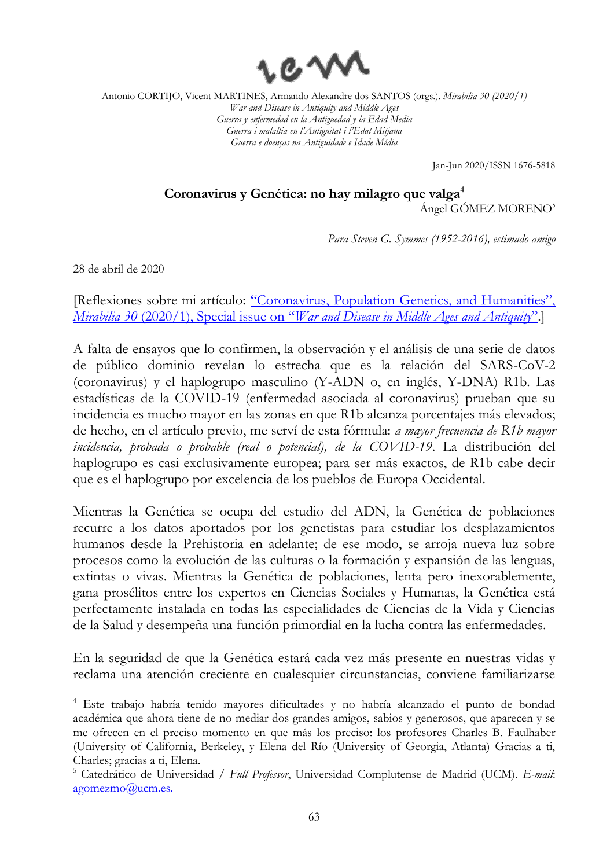

Jan-Jun 2020/ISSN 1676-5818

## **Coronavirus y Genética: no hay milagro que valga<sup>4</sup>**

Ángel GÓMEZ MORENO<sup>5</sup>

*Para Steven G. Symmes (1952-2016), estimado amigo*

28 de abril de 2020

 $\overline{a}$ 

[Reflexiones sobre mi artículo: ["Coronavirus, Population Genetics, and Humanities",](https://www.revistamirabilia.com/sites/default/files/pdfs/01._gomezmoreno.pdf)  *Mirabilia 30* (2020/1), Special issue on "*[War and Disease in Middle Ages and Antiquity](https://www.revistamirabilia.com/sites/default/files/pdfs/01._gomezmoreno.pdf)*".]

A falta de ensayos que lo confirmen, la observación y el análisis de una serie de datos de público dominio revelan lo estrecha que es la relación del SARS-CoV-2 (coronavirus) y el haplogrupo masculino (Y-ADN o, en inglés, Y-DNA) R1b. Las estadísticas de la COVID-19 (enfermedad asociada al coronavirus) prueban que su incidencia es mucho mayor en las zonas en que R1b alcanza porcentajes más elevados; de hecho, en el artículo previo, me serví de esta fórmula: *a mayor frecuencia de R1b mayor incidencia, probada o probable (real o potencial), de la COVID-19*. La distribución del haplogrupo es casi exclusivamente europea; para ser más exactos, de R1b cabe decir que es el haplogrupo por excelencia de los pueblos de Europa Occidental.

Mientras la Genética se ocupa del estudio del ADN, la Genética de poblaciones recurre a los datos aportados por los genetistas para estudiar los desplazamientos humanos desde la Prehistoria en adelante; de ese modo, se arroja nueva luz sobre procesos como la evolución de las culturas o la formación y expansión de las lenguas, extintas o vivas. Mientras la Genética de poblaciones, lenta pero inexorablemente, gana prosélitos entre los expertos en Ciencias Sociales y Humanas, la Genética está perfectamente instalada en todas las especialidades de Ciencias de la Vida y Ciencias de la Salud y desempeña una función primordial en la lucha contra las enfermedades.

En la seguridad de que la Genética estará cada vez más presente en nuestras vidas y reclama una atención creciente en cualesquier circunstancias, conviene familiarizarse

<sup>4</sup> Este trabajo habría tenido mayores dificultades y no habría alcanzado el punto de bondad académica que ahora tiene de no mediar dos grandes amigos, sabios y generosos, que aparecen y se me ofrecen en el preciso momento en que más los preciso: los profesores Charles B. Faulhaber (University of California, Berkeley, y Elena del Río (University of Georgia, Atlanta) Gracias a ti, Charles; gracias a ti, Elena.

<sup>5</sup> Catedrático de Universidad / *Full Professor*, Universidad Complutense de Madrid (UCM). *E-mail*: [agomezmo@ucm.es.](mailto:agomezmo@ucm.es)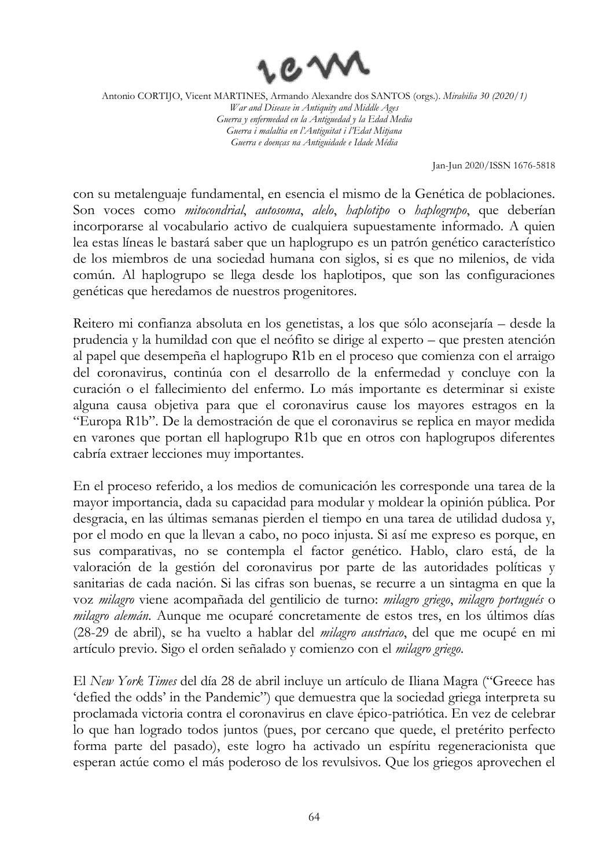

Jan-Jun 2020/ISSN 1676-5818

con su metalenguaje fundamental, en esencia el mismo de la Genética de poblaciones. Son voces como *mitocondrial*, *autosoma*, *alelo*, *haplotipo* o *haplogrupo*, que deberían incorporarse al vocabulario activo de cualquiera supuestamente informado. A quien lea estas líneas le bastará saber que un haplogrupo es un patrón genético característico de los miembros de una sociedad humana con siglos, si es que no milenios, de vida común. Al haplogrupo se llega desde los haplotipos, que son las configuraciones genéticas que heredamos de nuestros progenitores.

Reitero mi confianza absoluta en los genetistas, a los que sólo aconsejaría – desde la prudencia y la humildad con que el neófito se dirige al experto – que presten atención al papel que desempeña el haplogrupo R1b en el proceso que comienza con el arraigo del coronavirus, continúa con el desarrollo de la enfermedad y concluye con la curación o el fallecimiento del enfermo. Lo más importante es determinar si existe alguna causa objetiva para que el coronavirus cause los mayores estragos en la "Europa R1b". De la demostración de que el coronavirus se replica en mayor medida en varones que portan ell haplogrupo R1b que en otros con haplogrupos diferentes cabría extraer lecciones muy importantes.

En el proceso referido, a los medios de comunicación les corresponde una tarea de la mayor importancia, dada su capacidad para modular y moldear la opinión pública. Por desgracia, en las últimas semanas pierden el tiempo en una tarea de utilidad dudosa y, por el modo en que la llevan a cabo, no poco injusta. Si así me expreso es porque, en sus comparativas, no se contempla el factor genético. Hablo, claro está, de la valoración de la gestión del coronavirus por parte de las autoridades políticas y sanitarias de cada nación. Si las cifras son buenas, se recurre a un sintagma en que la voz *milagro* viene acompañada del gentilicio de turno: *milagro griego*, *milagro portugués* o *milagro alemán*. Aunque me ocuparé concretamente de estos tres, en los últimos días (28-29 de abril), se ha vuelto a hablar del *milagro austriaco*, del que me ocupé en mi artículo previo. Sigo el orden señalado y comienzo con el *milagro griego*.

El *New York Times* del día 28 de abril incluye un artículo de Iliana Magra ("Greece has 'defied the odds' in the Pandemic") que demuestra que la sociedad griega interpreta su proclamada victoria contra el coronavirus en clave épico-patriótica. En vez de celebrar lo que han logrado todos juntos (pues, por cercano que quede, el pretérito perfecto forma parte del pasado), este logro ha activado un espíritu regeneracionista que esperan actúe como el más poderoso de los revulsivos. Que los griegos aprovechen el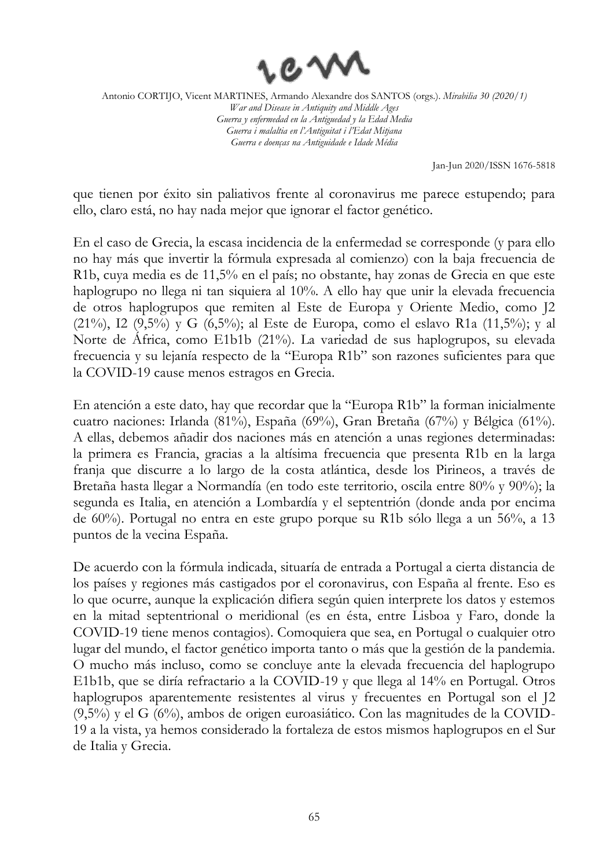

Jan-Jun 2020/ISSN 1676-5818

que tienen por éxito sin paliativos frente al coronavirus me parece estupendo; para ello, claro está, no hay nada mejor que ignorar el factor genético.

En el caso de Grecia, la escasa incidencia de la enfermedad se corresponde (y para ello no hay más que invertir la fórmula expresada al comienzo) con la baja frecuencia de R1b, cuya media es de 11,5% en el país; no obstante, hay zonas de Grecia en que este haplogrupo no llega ni tan siquiera al 10%. A ello hay que unir la elevada frecuencia de otros haplogrupos que remiten al Este de Europa y Oriente Medio, como J2 (21%), I2 (9,5%) y G (6,5%); al Este de Europa, como el eslavo R1a (11,5%); y al Norte de África, como E1b1b (21%). La variedad de sus haplogrupos, su elevada frecuencia y su lejanía respecto de la "Europa R1b" son razones suficientes para que la COVID-19 cause menos estragos en Grecia.

En atención a este dato, hay que recordar que la "Europa R1b" la forman inicialmente cuatro naciones: Irlanda (81%), España (69%), Gran Bretaña (67%) y Bélgica (61%). A ellas, debemos añadir dos naciones más en atención a unas regiones determinadas: la primera es Francia, gracias a la altísima frecuencia que presenta R1b en la larga franja que discurre a lo largo de la costa atlántica, desde los Pirineos, a través de Bretaña hasta llegar a Normandía (en todo este territorio, oscila entre 80% y 90%); la segunda es Italia, en atención a Lombardía y el septentrión (donde anda por encima de 60%). Portugal no entra en este grupo porque su R1b sólo llega a un 56%, a 13 puntos de la vecina España.

De acuerdo con la fórmula indicada, situaría de entrada a Portugal a cierta distancia de los países y regiones más castigados por el coronavirus, con España al frente. Eso es lo que ocurre, aunque la explicación difiera según quien interprete los datos y estemos en la mitad septentrional o meridional (es en ésta, entre Lisboa y Faro, donde la COVID-19 tiene menos contagios). Comoquiera que sea, en Portugal o cualquier otro lugar del mundo, el factor genético importa tanto o más que la gestión de la pandemia. O mucho más incluso, como se concluye ante la elevada frecuencia del haplogrupo E1b1b, que se diría refractario a la COVID-19 y que llega al 14% en Portugal. Otros haplogrupos aparentemente resistentes al virus y frecuentes en Portugal son el J2 (9,5%) y el G (6%), ambos de origen euroasiático. Con las magnitudes de la COVID-19 a la vista, ya hemos considerado la fortaleza de estos mismos haplogrupos en el Sur de Italia y Grecia.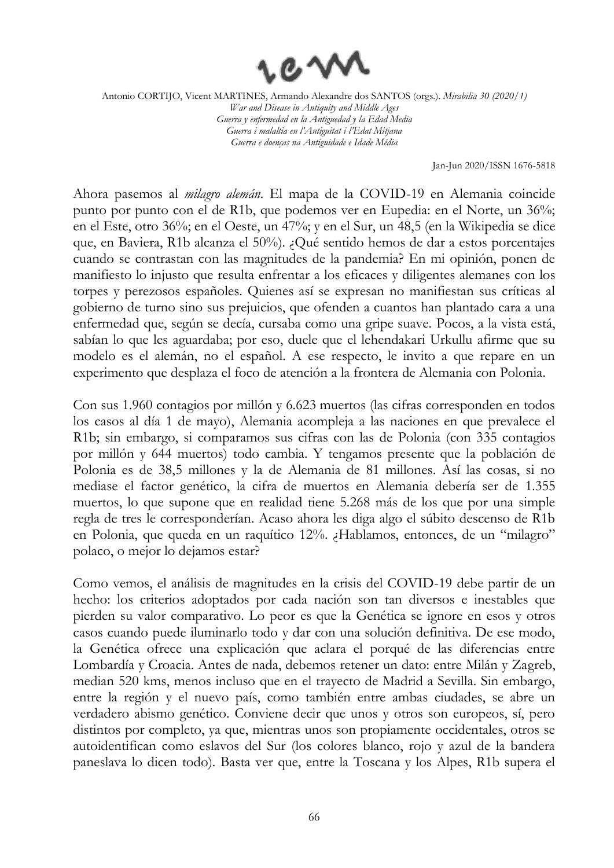

Jan-Jun 2020/ISSN 1676-5818

Ahora pasemos al *milagro alemán*. El mapa de la COVID-19 en Alemania coincide punto por punto con el de R1b, que podemos ver en Eupedia: en el Norte, un 36%; en el Este, otro 36%; en el Oeste, un 47%; y en el Sur, un 48,5 (en la Wikipedia se dice que, en Baviera, R1b alcanza el 50%). ¿Qué sentido hemos de dar a estos porcentajes cuando se contrastan con las magnitudes de la pandemia? En mi opinión, ponen de manifiesto lo injusto que resulta enfrentar a los eficaces y diligentes alemanes con los torpes y perezosos españoles. Quienes así se expresan no manifiestan sus críticas al gobierno de turno sino sus prejuicios, que ofenden a cuantos han plantado cara a una enfermedad que, según se decía, cursaba como una gripe suave. Pocos, a la vista está, sabían lo que les aguardaba; por eso, duele que el lehendakari Urkullu afirme que su modelo es el alemán, no el español. A ese respecto, le invito a que repare en un experimento que desplaza el foco de atención a la frontera de Alemania con Polonia.

Con sus 1.960 contagios por millón y 6.623 muertos (las cifras corresponden en todos los casos al día 1 de mayo), Alemania acompleja a las naciones en que prevalece el R1b; sin embargo, si comparamos sus cifras con las de Polonia (con 335 contagios por millón y 644 muertos) todo cambia. Y tengamos presente que la población de Polonia es de 38,5 millones y la de Alemania de 81 millones. Así las cosas, si no mediase el factor genético, la cifra de muertos en Alemania debería ser de 1.355 muertos, lo que supone que en realidad tiene 5.268 más de los que por una simple regla de tres le corresponderían. Acaso ahora les diga algo el súbito descenso de R1b en Polonia, que queda en un raquítico 12%. ¿Hablamos, entonces, de un "milagro" polaco, o mejor lo dejamos estar?

Como vemos, el análisis de magnitudes en la crisis del COVID-19 debe partir de un hecho: los criterios adoptados por cada nación son tan diversos e inestables que pierden su valor comparativo. Lo peor es que la Genética se ignore en esos y otros casos cuando puede iluminarlo todo y dar con una solución definitiva. De ese modo, la Genética ofrece una explicación que aclara el porqué de las diferencias entre Lombardía y Croacia. Antes de nada, debemos retener un dato: entre Milán y Zagreb, median 520 kms, menos incluso que en el trayecto de Madrid a Sevilla. Sin embargo, entre la región y el nuevo país, como también entre ambas ciudades, se abre un verdadero abismo genético. Conviene decir que unos y otros son europeos, sí, pero distintos por completo, ya que, mientras unos son propiamente occidentales, otros se autoidentifican como eslavos del Sur (los colores blanco, rojo y azul de la bandera paneslava lo dicen todo). Basta ver que, entre la Toscana y los Alpes, R1b supera el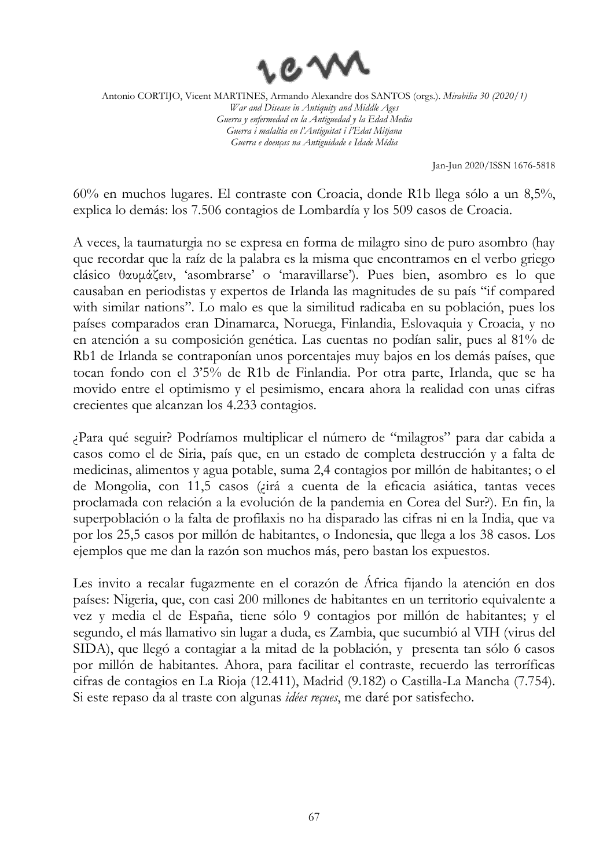

Jan-Jun 2020/ISSN 1676-5818

60% en muchos lugares. El contraste con Croacia, donde R1b llega sólo a un 8,5%, explica lo demás: los 7.506 contagios de Lombardía y los 509 casos de Croacia.

A veces, la taumaturgia no se expresa en forma de milagro sino de puro asombro (hay que recordar que la raíz de la palabra es la misma que encontramos en el verbo griego clásico θαυμάζειν, 'asombrarse' o 'maravillarse'). Pues bien, asombro es lo que causaban en periodistas y expertos de Irlanda las magnitudes de su país "if compared with similar nations". Lo malo es que la similitud radicaba en su población, pues los países comparados eran Dinamarca, Noruega, Finlandia, Eslovaquia y Croacia, y no en atención a su composición genética. Las cuentas no podían salir, pues al 81% de Rb1 de Irlanda se contraponían unos porcentajes muy bajos en los demás países, que tocan fondo con el 3'5% de R1b de Finlandia. Por otra parte, Irlanda, que se ha movido entre el optimismo y el pesimismo, encara ahora la realidad con unas cifras crecientes que alcanzan los 4.233 contagios.

¿Para qué seguir? Podríamos multiplicar el número de "milagros" para dar cabida a casos como el de Siria, país que, en un estado de completa destrucción y a falta de medicinas, alimentos y agua potable, suma 2,4 contagios por millón de habitantes; o el de Mongolia, con 11,5 casos (¿irá a cuenta de la eficacia asiática, tantas veces proclamada con relación a la evolución de la pandemia en Corea del Sur?). En fin, la superpoblación o la falta de profilaxis no ha disparado las cifras ni en la India, que va por los 25,5 casos por millón de habitantes, o Indonesia, que llega a los 38 casos. Los ejemplos que me dan la razón son muchos más, pero bastan los expuestos.

Les invito a recalar fugazmente en el corazón de África fijando la atención en dos países: Nigeria, que, con casi 200 millones de habitantes en un territorio equivalente a vez y media el de España, tiene sólo 9 contagios por millón de habitantes; y el segundo, el más llamativo sin lugar a duda, es Zambia, que sucumbió al VIH (virus del SIDA), que llegó a contagiar a la mitad de la población, y presenta tan sólo 6 casos por millón de habitantes. Ahora, para facilitar el contraste, recuerdo las terroríficas cifras de contagios en La Rioja (12.411), Madrid (9.182) o Castilla-La Mancha (7.754). Si este repaso da al traste con algunas *idées reçues*, me daré por satisfecho.